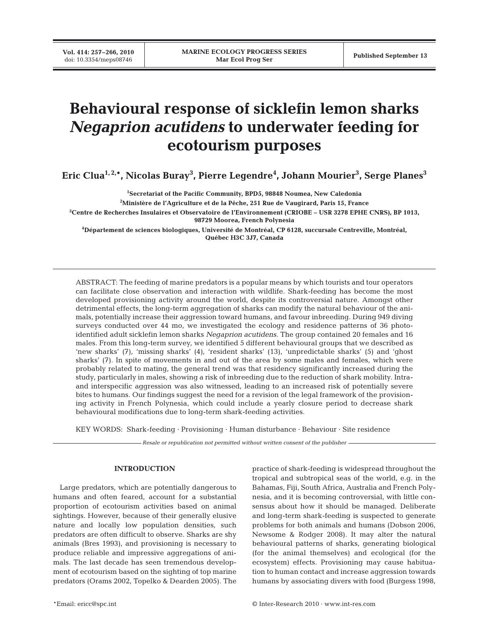# **Behavioural response of sicklefin lemon sharks** *Negaprion acutidens* **to underwater feeding for ecotourism purposes**

**Eric Clua1, 2,\*, Nicolas Buray3 , Pierre Legendre4 , Johann Mourier3 , Serge Planes3**

 **Secretariat of the Pacific Community, BPD5, 98848 Noumea, New Caledonia Ministère de l'Agriculture et de la Pêche, 251 Rue de Vaugirard, Paris 15, France Centre de Recherches Insulaires et Observatoire de l'Environnement (CRIOBE – USR 3278 EPHE CNRS), BP 1013, 98729 Moorea, French Polynesia**

**4 Département de sciences biologiques, Université de Montréal, CP 6128, succursale Centreville, Montréal, Québec H3C 3J7, Canada**

ABSTRACT: The feeding of marine predators is a popular means by which tourists and tour operators can facilitate close observation and interaction with wildlife. Shark-feeding has become the most developed provisioning activity around the world, despite its controversial nature. Amongst other detrimental effects, the long-term aggregation of sharks can modify the natural behaviour of the animals, potentially increase their aggression toward humans, and favour inbreeding. During 949 diving surveys conducted over 44 mo, we investigated the ecology and residence patterns of 36 photoidentified adult sicklefin lemon sharks *Negaprion acutidens*. The group contained 20 females and 16 males. From this long-term survey, we identified 5 different behavioural groups that we described as 'new sharks' (7), 'missing sharks' (4), 'resident sharks' (13), 'unpredictable sharks' (5) and 'ghost sharks' (7). In spite of movements in and out of the area by some males and females, which were probably related to mating, the general trend was that residency significantly increased during the study, particularly in males, showing a risk of inbreeding due to the reduction of shark mobility. Intraand interspecific aggression was also witnessed, leading to an increased risk of potentially severe bites to humans. Our findings suggest the need for a revision of the legal framework of the provisioning activity in French Polynesia, which could include a yearly closure period to decrease shark behavioural modifications due to long-term shark-feeding activities.

KEY WORDS: Shark-feeding · Provisioning · Human disturbance · Behaviour · Site residence

*Resale or republication not permitted without written consent of the publisher*

#### **INTRODUCTION**

Large predators, which are potentially dangerous to humans and often feared, account for a substantial proportion of ecotourism activities based on animal sightings. However, because of their generally elusive nature and locally low population densities, such predators are often difficult to observe. Sharks are shy animals (Bres 1993), and provisioning is necessary to produce reliable and impressive aggregations of animals. The last decade has seen tremendous development of ecotourism based on the sighting of top marine predators (Orams 2002, Topelko & Dearden 2005). The

practice of shark-feeding is widespread throughout the tropical and subtropical seas of the world, e.g. in the Bahamas, Fiji, South Africa, Australia and French Polynesia, and it is becoming controversial, with little consensus about how it should be managed. Deliberate and long-term shark-feeding is suspected to generate problems for both animals and humans (Dobson 2006, Newsome & Rodger 2008). It may alter the natural behavioural patterns of sharks, generating biological (for the animal themselves) and ecological (for the ecosystem) effects. Provisioning may cause habituation to human contact and increase aggression towards humans by associating divers with food (Burgess 1998,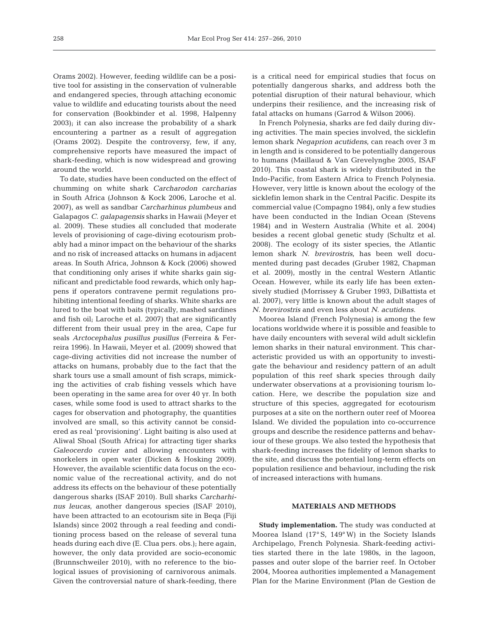Orams 2002). However, feeding wildlife can be a positive tool for assisting in the conservation of vulnerable and endangered species, through attaching economic value to wildlife and educating tourists about the need for conservation (Bookbinder et al. 1998, Halpenny 2003); it can also increase the probability of a shark encountering a partner as a result of aggregation (Orams 2002). Despite the controversy, few, if any, comprehensive reports have measured the impact of shark-feeding, which is now widespread and growing around the world.

To date, studies have been conducted on the effect of chumming on white shark *Carcharodon carcharias* in South Africa (Johnson & Kock 2006, Laroche et al. 2007), as well as sandbar *Carcharhinus plumbeus* and Galapagos *C. galapagensis* sharks in Hawaii (Meyer et al. 2009). These studies all concluded that moderate levels of provisioning of cage-diving ecotourism probably had a minor impact on the behaviour of the sharks and no risk of increased attacks on humans in adjacent areas. In South Africa, Johnson & Kock (2006) showed that conditioning only arises if white sharks gain significant and predictable food rewards, which only happens if operators contravene permit regulations prohibiting intentional feeding of sharks. White sharks are lured to the boat with baits (typically, mashed sardines and fish oil; Laroche et al. 2007) that are significantly different from their usual prey in the area, Cape fur seals *Arctocephalus pusillus pusillus* (Ferreira & Ferreira 1996). In Hawaii, Meyer et al. (2009) showed that cage-diving activities did not increase the number of attacks on humans, probably due to the fact that the shark tours use a small amount of fish scraps, mimicking the activities of crab fishing vessels which have been operating in the same area for over 40 yr. In both cases, while some food is used to attract sharks to the cages for observation and photography, the quantities involved are small, so this activity cannot be considered as real 'provisioning'. Light baiting is also used at Aliwal Shoal (South Africa) for attracting tiger sharks *Galeocerdo cuvier* and allowing encounters with snorkelers in open water (Dicken & Hosking 2009). However, the available scientific data focus on the economic value of the recreational activity, and do not address its effects on the behaviour of these potentially dangerous sharks (ISAF 2010). Bull sharks *Carcharhinus leucas*, another dangerous species (ISAF 2010), have been attracted to an ecotourism site in Beqa (Fiji Islands) since 2002 through a real feeding and conditioning process based on the release of several tuna heads during each dive (E. Clua pers. obs.); here again, however, the only data provided are socio-economic (Brunnschweiler 2010), with no reference to the biological issues of provisioning of carnivorous animals. Given the controversial nature of shark-feeding, there

is a critical need for empirical studies that focus on potentially dangerous sharks, and address both the potential disruption of their natural behaviour, which underpins their resilience, and the increasing risk of fatal attacks on humans (Garrod & Wilson 2006).

In French Polynesia, sharks are fed daily during diving activities. The main species involved, the sicklefin lemon shark *Negaprion acutidens*, can reach over 3 m in length and is considered to be potentially dangerous to humans (Maillaud & Van Grevelynghe 2005, ISAF 2010). This coastal shark is widely distributed in the Indo-Pacific, from Eastern Africa to French Polynesia. However, very little is known about the ecology of the sicklefin lemon shark in the Central Pacific. Despite its commercial value (Compagno 1984), only a few studies have been conducted in the Indian Ocean (Stevens 1984) and in Western Australia (White et al. 2004) besides a recent global genetic study (Schultz et al. 2008). The ecology of its sister species, the Atlantic lemon shark *N. brevirostris*, has been well documented during past decades (Gruber 1982, Chapman et al. 2009), mostly in the central Western Atlantic Ocean. However, while its early life has been extensively studied (Morrissey & Gruber 1993, DiBattista et al. 2007), very little is known about the adult stages of *N. brevirostris* and even less about *N. acutidens*.

Moorea Island (French Polynesia) is among the few locations worldwide where it is possible and feasible to have daily encounters with several wild adult sicklefin lemon sharks in their natural environment. This characteristic provided us with an opportunity to investigate the behaviour and residency pattern of an adult population of this reef shark species through daily underwater observations at a provisioning tourism location. Here, we describe the population size and structure of this species, aggregated for ecotourism purposes at a site on the northern outer reef of Moorea Island. We divided the population into co-occurrence groups and describe the residence patterns and behaviour of these groups. We also tested the hypothesis that shark-feeding increases the fidelity of lemon sharks to the site, and discuss the potential long-term effects on population resilience and behaviour, including the risk of increased interactions with humans.

# **MATERIALS AND METHODS**

**Study implementation.** The study was conducted at Moorea Island (17° S, 149° W) in the Society Islands Archipelago, French Polynesia. Shark-feeding activities started there in the late 1980s, in the lagoon, passes and outer slope of the barrier reef. In October 2004, Moorea authorities implemented a Management Plan for the Marine Environment (Plan de Gestion de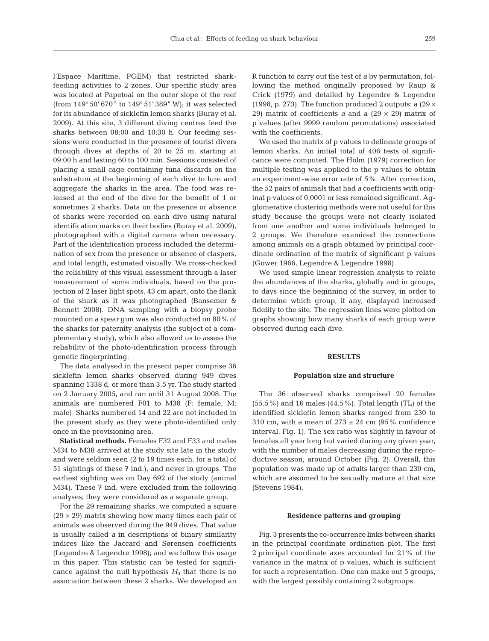l'Espace Maritime, PGEM) that restricted sharkfeeding activities to 2 zones. Our specific study area was located at Papetoai on the outer slope of the reef (from 149° 50' 670" to 149° 51' 389" W); it was selected for its abundance of sicklefin lemon sharks (Buray et al. 2009). At this site, 3 different diving centres feed the sharks between 08:00 and 10:30 h. Our feeding sessions were conducted in the presence of tourist divers through dives at depths of 20 to 25 m, starting at 09:00 h and lasting 60 to 100 min. Sessions consisted of placing a small cage containing tuna discards on the substratum at the beginning of each dive to lure and aggregate the sharks in the area. The food was released at the end of the dive for the benefit of 1 or sometimes 2 sharks. Data on the presence or absence of sharks were recorded on each dive using natural identification marks on their bodies (Buray et al. 2009), photographed with a digital camera when necessary. Part of the identification process included the determination of sex from the presence or absence of claspers, and total length, estimated visually. We cross-checked the reliability of this visual assessment through a laser measurement of some individuals, based on the projection of 2 laser light spots, 43 cm apart, onto the flank of the shark as it was photographed (Bansemer & Bennett 2008). DNA sampling with a biopsy probe mounted on a spear gun was also conducted on 80% of the sharks for paternity analysis (the subject of a complementary study), which also allowed us to assess the reliability of the photo-identification process through genetic fingerprinting.

The data analysed in the present paper comprise 36 sicklefin lemon sharks observed during 949 dives spanning 1338 d, or more than 3.5 yr. The study started on 2 January 2005, and ran until 31 August 2008. The animals are numbered F01 to M38 (F: female, M: male). Sharks numbered 14 and 22 are not included in the present study as they were photo-identified only once in the provisioning area.

**Statistical methods.** Females F32 and F33 and males M34 to M38 arrived at the study site late in the study and were seldom seen (2 to 19 times each, for a total of 51 sightings of these 7 ind.), and never in groups. The earliest sighting was on Day 692 of the study (animal M34). These 7 ind. were excluded from the following analyses; they were considered as a separate group.

For the 29 remaining sharks, we computed a square  $(29 \times 29)$  matrix showing how many times each pair of animals was observed during the 949 dives. That value is usually called *a* in descriptions of binary similarity indices like the Jaccard and Sørensen coefficients (Legendre & Legendre 1998); and we follow this usage in this paper. This statistic can be tested for significance against the null hypothesis  $H_0$  that there is no association between these 2 sharks. We developed an R function to carry out the test of *a* by permutation, following the method originally proposed by Raup & Crick (1979) and detailed by Legendre & Legendre (1998, p. 273). The function produced 2 outputs: a (29  $\times$ 29) matrix of coefficients *a* and a  $(29 \times 29)$  matrix of p values (after 9999 random permutations) associated with the coefficients.

We used the matrix of p values to delineate groups of lemon sharks. An initial total of 406 tests of significance were computed. The Holm (1979) correction for multiple testing was applied to the p values to obtain an experiment-wise error rate of 5%. After correction, the 52 pairs of animals that had *a* coefficients with original p values of 0.0001 or less remained significant. Agglomerative clustering methods were not useful for this study because the groups were not clearly isolated from one another and some individuals belonged to 2 groups. We therefore examined the connections among animals on a graph obtained by principal coordinate ordination of the matrix of significant p values (Gower 1966, Legendre & Legendre 1998).

We used simple linear regression analysis to relate the abundances of the sharks, globally and in groups, to days since the beginning of the survey, in order to determine which group, if any, displayed increased fidelity to the site. The regression lines were plotted on graphs showing how many sharks of each group were observed during each dive.

## **RESULTS**

#### **Population size and structure**

The 36 observed sharks comprised 20 females (55.5%) and 16 males (44.5%). Total length (TL) of the identified sicklefin lemon sharks ranged from 230 to 310 cm, with a mean of  $273 \pm 24$  cm (95% confidence interval, Fig. 1). The sex ratio was slightly in favour of females all year long but varied during any given year, with the number of males decreasing during the reproductive season, around October (Fig. 2). Overall, this population was made up of adults larger than 230 cm, which are assumed to be sexually mature at that size (Stevens 1984).

#### **Residence patterns and grouping**

Fig. 3 presents the co-occurrence links between sharks in the principal coordinate ordination plot. The first 2 principal coordinate axes accounted for 21% of the variance in the matrix of p values, which is sufficient for such a representation. One can make out 5 groups, with the largest possibly containing 2 subgroups.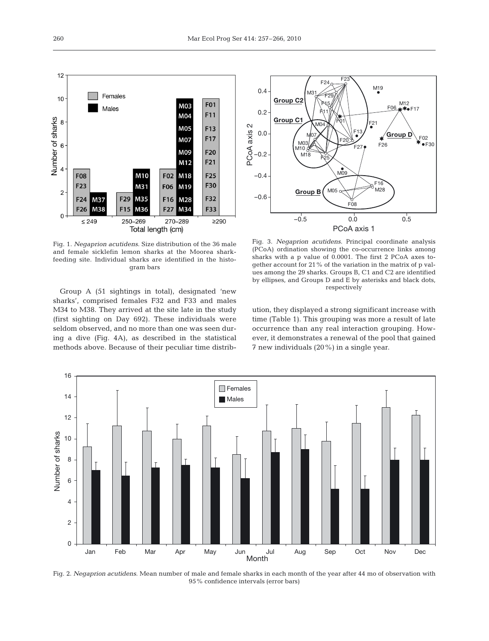

Fig. 1. *Negaprion acutidens*. Size distribution of the 36 male and female sicklefin lemon sharks at the Moorea sharkfeeding site. Individual sharks are identified in the histogram bars

Group A (51 sightings in total), designated 'new sharks', comprised females F32 and F33 and males M34 to M38. They arrived at the site late in the study (first sighting on Day 692). These individuals were seldom observed, and no more than one was seen during a dive (Fig. 4A), as described in the statistical methods above. Because of their peculiar time distrib-



Fig. 3. *Negaprion acutidens*. Principal coordinate analysis (PCoA) ordination showing the co-occurrence links among sharks with a p value of 0.0001. The first 2 PCoA axes together account for 21% of the variation in the matrix of p values among the 29 sharks. Groups B, C1 and C2 are identified by ellipses, and Groups D and E by asterisks and black dots, respectively

ution, they displayed a strong significant increase with time (Table 1). This grouping was more a result of late occurrence than any real interaction grouping. However, it demonstrates a renewal of the pool that gained 7 new individuals (20%) in a single year.



Fig. 2. *Negaprion acutidens*. Mean number of male and female sharks in each month of the year after 44 mo of observation with 95% confidence intervals (error bars)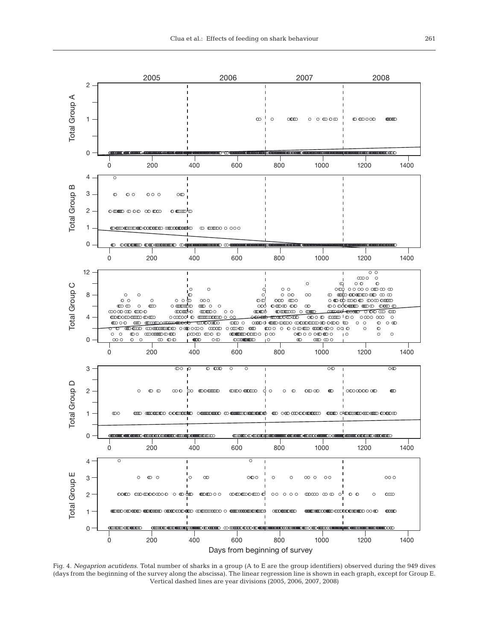

Fig. 4. *Negaprion acutidens.* Total number of sharks in a group (A to E are the group identifiers) observed during the 949 dives (days from the beginning of the survey along the abscissa). The linear regression line is shown in each graph, except for Group E. Vertical dashed lines are year divisions (2005, 2006, 2007, 2008)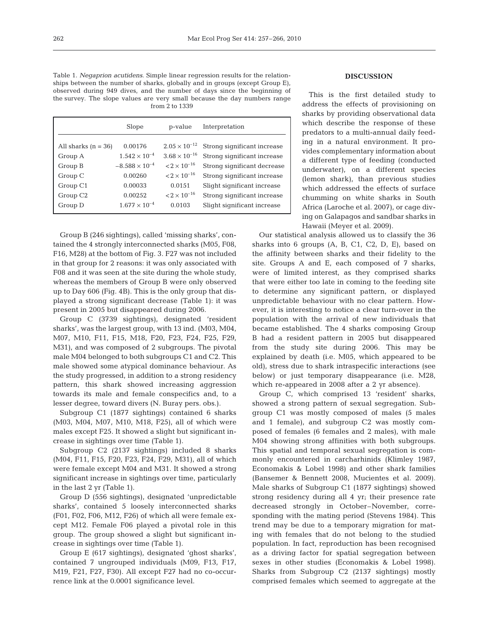Table 1. *Negaprion acutidens*. Simple linear regression results for the relationships between the number of sharks, globally and in groups (except Group E), observed during 949 dives, and the number of days since the beginning of the survey. The slope values are very small because the day numbers range from 2 to 1339

|                                  | Slope                             | p-value                                          | Interpretation                                             |
|----------------------------------|-----------------------------------|--------------------------------------------------|------------------------------------------------------------|
| All sharks $(n = 36)$<br>Group A | 0.00176<br>$1.542 \times 10^{-4}$ | $2.05 \times 10^{-12}$<br>$3.68 \times 10^{-16}$ | Strong significant increase<br>Strong significant increase |
| Group B                          | $-8.588 \times 10^{-4}$           | $< 2 \times 10^{-16}$                            | Strong significant decrease                                |
| Group C                          | 0.00260                           | $< 2 \times 10^{-16}$                            | Strong significant increase                                |
| Group C1                         | 0.00033                           | 0.0151                                           | Slight significant increase                                |
| Group C <sub>2</sub>             | 0.00252                           | $< 2 \times 10^{-16}$                            | Strong significant increase                                |
| Group D                          | $1.677 \times 10^{-4}$            | 0.0103                                           | Slight significant increase                                |

Group B (246 sightings), called 'missing sharks', contained the 4 strongly interconnected sharks (M05, F08, F16, M28) at the bottom of Fig. 3. F27 was not included in that group for 2 reasons: it was only associated with F08 and it was seen at the site during the whole study, whereas the members of Group B were only observed up to Day 606 (Fig. 4B). This is the only group that displayed a strong significant decrease (Table 1): it was present in 2005 but disappeared during 2006.

Group C (3739 sightings), designated 'resident sharks', was the largest group, with 13 ind. (M03, M04, M07, M10, F11, F15, M18, F20, F23, F24, F25, F29, M31), and was composed of 2 subgroups. The pivotal male M04 belonged to both subgroups C1 and C2. This male showed some atypical dominance behaviour. As the study progressed, in addition to a strong residency pattern, this shark showed increasing aggression towards its male and female conspecifics and, to a lesser degree, toward divers (N. Buray pers. obs.).

Subgroup C1 (1877 sightings) contained 6 sharks (M03, M04, M07, M10, M18, F25), all of which were males except F25. It showed a slight but significant increase in sightings over time (Table 1).

Subgroup C2 (2137 sightings) included 8 sharks (M04, F11, F15, F20, F23, F24, F29, M31), all of which were female except M04 and M31. It showed a strong significant increase in sightings over time, particularly in the last 2 yr (Table 1).

Group D (556 sightings), designated 'unpredictable sharks', contained 5 loosely interconnected sharks (F01, F02, F06, M12, F26) of which all were female except M12. Female F06 played a pivotal role in this group. The group showed a slight but significant increase in sightings over time (Table 1).

Group E (617 sightings), designated 'ghost sharks', contained 7 ungrouped individuals (M09, F13, F17, M19, F21, F27, F30). All except F27 had no co-occurrence link at the 0.0001 significance level.

# **DISCUSSION**

This is the first detailed study to address the effects of provisioning on sharks by providing observational data which describe the response of these predators to a multi-annual daily feeding in a natural environment. It provides complementary information about a different type of feeding (conducted underwater), on a different species (lemon shark), than previous studies which addressed the effects of surface chumming on white sharks in South Africa (Laroche et al. 2007), or cage diving on Galapagos and sandbar sharks in Hawaii (Meyer et al. 2009).

Our statistical analysis allowed us to classify the 36 sharks into 6 groups (A, B, C1, C2, D, E), based on the affinity between sharks and their fidelity to the site. Groups A and E, each composed of 7 sharks, were of limited interest, as they comprised sharks that were either too late in coming to the feeding site to determine any significant pattern, or displayed unpredictable behaviour with no clear pattern. However, it is interesting to notice a clear turn-over in the population with the arrival of new individuals that became established. The 4 sharks composing Group B had a resident pattern in 2005 but disappeared from the study site during 2006. This may be explained by death (i.e. M05, which appeared to be old), stress due to shark intraspecific interactions (see below) or just temporary disappearance (i.e. M28, which re-appeared in 2008 after a 2 yr absence).

Group C, which comprised 13 'resident' sharks, showed a strong pattern of sexual segregation. Subgroup C1 was mostly composed of males (5 males and 1 female), and subgroup C2 was mostly composed of females (6 females and 2 males), with male M04 showing strong affinities with both subgroups. This spatial and temporal sexual segregation is commonly encountered in carcharhinids (Klimley 1987, Economakis & Lobel 1998) and other shark families (Bansemer & Bennett 2008, Mucientes et al. 2009). Male sharks of Subgroup C1 (1877 sightings) showed strong residency during all 4 yr; their presence rate decreased strongly in October–November, corresponding with the mating period (Stevens 1984). This trend may be due to a temporary migration for mating with females that do not belong to the studied population. In fact, reproduction has been recognised as a driving factor for spatial segregation between sexes in other studies (Economakis & Lobel 1998). Sharks from Subgroup C2 (2137 sightings) mostly comprised females which seemed to aggregate at the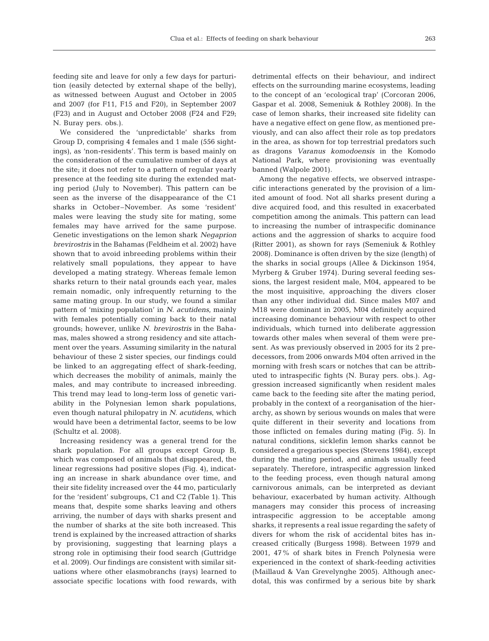feeding site and leave for only a few days for parturition (easily detected by external shape of the belly), as witnessed between August and October in 2005 and 2007 (for F11, F15 and F20), in September 2007 (F23) and in August and October 2008 (F24 and F29; N. Buray pers. obs.).

We considered the 'unpredictable' sharks from Group D, comprising 4 females and 1 male (556 sightings), as 'non-residents'. This term is based mainly on the consideration of the cumulative number of days at the site; it does not refer to a pattern of regular yearly presence at the feeding site during the extended mating period (July to November). This pattern can be seen as the inverse of the disappearance of the C1 sharks in October–November. As some 'resident' males were leaving the study site for mating, some females may have arrived for the same purpose. Genetic investigations on the lemon shark *Negaprion brevirostris* in the Bahamas (Feldheim et al. 2002) have shown that to avoid inbreeding problems within their relatively small populations, they appear to have developed a mating strategy. Whereas female lemon sharks return to their natal grounds each year, males remain nomadic, only infrequently returning to the same mating group. In our study, we found a similar pattern of 'mixing population' in *N. acutidens*, mainly with females potentially coming back to their natal grounds; however, unlike *N. brevirostris* in the Bahamas, males showed a strong residency and site attachment over the years. Assuming similarity in the natural behaviour of these 2 sister species, our findings could be linked to an aggregating effect of shark-feeding, which decreases the mobility of animals, mainly the males, and may contribute to increased inbreeding. This trend may lead to long-term loss of genetic variability in the Polynesian lemon shark populations, even though natural philopatry in *N. acutidens*, which would have been a detrimental factor, seems to be low (Schultz et al. 2008).

Increasing residency was a general trend for the shark population. For all groups except Group B, which was composed of animals that disappeared, the linear regressions had positive slopes (Fig. 4), indicating an increase in shark abundance over time, and their site fidelity increased over the 44 mo, particularly for the 'resident' subgroups, C1 and C2 (Table 1). This means that, despite some sharks leaving and others arriving, the number of days with sharks present and the number of sharks at the site both increased. This trend is explained by the increased attraction of sharks by provisioning, suggesting that learning plays a strong role in optimising their food search (Guttridge et al. 2009). Our findings are consistent with similar situations where other elasmobranchs (rays) learned to associate specific locations with food rewards, with detrimental effects on their behaviour, and indirect effects on the surrounding marine ecosystems, leading to the concept of an 'ecological trap' (Corcoran 2006, Gaspar et al. 2008, Semeniuk & Rothley 2008). In the case of lemon sharks, their increased site fidelity can have a negative effect on gene flow, as mentioned previously, and can also affect their role as top predators in the area, as shown for top terrestrial predators such as dragons *Varanus komodoensis* in the Komodo National Park, where provisioning was eventually banned (Walpole 2001).

Among the negative effects, we observed intraspecific interactions generated by the provision of a limited amount of food. Not all sharks present during a dive acquired food, and this resulted in exacerbated competition among the animals. This pattern can lead to increasing the number of intraspecific dominance actions and the aggression of sharks to acquire food (Ritter 2001), as shown for rays (Semeniuk & Rothley 2008). Dominance is often driven by the size (length) of the sharks in social groups (Allee & Dickinson 1954, Myrberg & Gruber 1974). During several feeding sessions, the largest resident male, M04, appeared to be the most inquisitive, approaching the divers closer than any other individual did. Since males M07 and M18 were dominant in 2005, M04 definitely acquired increasing dominance behaviour with respect to other individuals, which turned into deliberate aggression towards other males when several of them were present. As was previously observed in 2005 for its 2 predecessors, from 2006 onwards M04 often arrived in the morning with fresh scars or notches that can be attributed to intraspecific fights (N. Buray pers. obs.). Aggression increased significantly when resident males came back to the feeding site after the mating period, probably in the context of a reorganisation of the hierarchy, as shown by serious wounds on males that were quite different in their severity and locations from those inflicted on females during mating (Fig. 5). In natural conditions, sicklefin lemon sharks cannot be considered a gregarious species (Stevens 1984), except during the mating period, and animals usually feed separately. Therefore, intraspecific aggression linked to the feeding process, even though natural among carnivorous animals, can be interpreted as deviant behaviour, exacerbated by human activity. Although managers may consider this process of increasing intraspecific aggression to be acceptable among sharks, it represents a real issue regarding the safety of divers for whom the risk of accidental bites has increased critically (Burgess 1998). Between 1979 and 2001, 47% of shark bites in French Polynesia were experienced in the context of shark-feeding activities (Maillaud & Van Grevelynghe 2005). Although anecdotal, this was confirmed by a serious bite by shark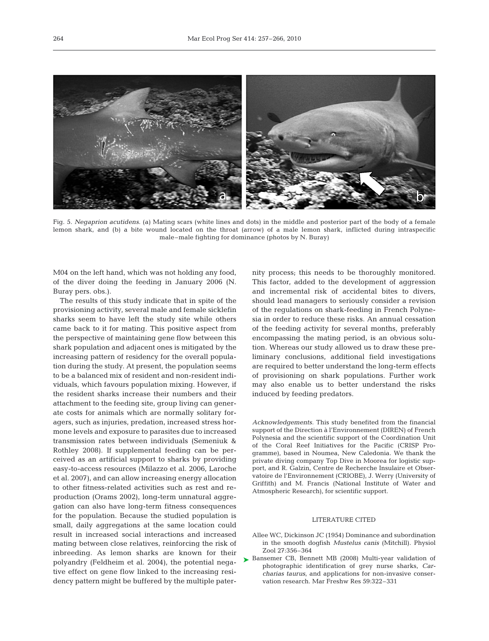

Fig. 5. *Negaprion acutidens*. (a) Mating scars (white lines and dots) in the middle and posterior part of the body of a female lemon shark, and (b) a bite wound located on the throat (arrow) of a male lemon shark, inflicted during intraspecific male–male fighting for dominance (photos by N. Buray)

M04 on the left hand, which was not holding any food, of the diver doing the feeding in January 2006 (N. Buray pers. obs.).

The results of this study indicate that in spite of the provisioning activity, several male and female sicklefin sharks seem to have left the study site while others came back to it for mating. This positive aspect from the perspective of maintaining gene flow between this shark population and adjacent ones is mitigated by the increasing pattern of residency for the overall population during the study. At present, the population seems to be a balanced mix of resident and non-resident individuals, which favours population mixing. However, if the resident sharks increase their numbers and their attachment to the feeding site, group living can generate costs for animals which are normally solitary foragers, such as injuries, predation, increased stress hormone levels and exposure to parasites due to increased transmission rates between individuals (Semeniuk & Rothley 2008). If supplemental feeding can be perceived as an artificial support to sharks by providing easy-to-access resources (Milazzo et al. 2006, Laroche et al. 2007), and can allow increasing energy allocation to other fitness-related activities such as rest and reproduction (Orams 2002), long-term unnatural aggregation can also have long-term fitness consequences for the population. Because the studied population is small, daily aggregations at the same location could result in increased social interactions and increased mating between close relatives, reinforcing the risk of inbreeding. As lemon sharks are known for their polyandry (Feldheim et al. 2004), the potential negative effect on gene flow linked to the increasing residency pattern might be buffered by the multiple paternity process; this needs to be thoroughly monitored. This factor, added to the development of aggression and incremental risk of accidental bites to divers, should lead managers to seriously consider a revision of the regulations on shark-feeding in French Polynesia in order to reduce these risks. An annual cessation of the feeding activity for several months, preferably encompassing the mating period, is an obvious solution. Whereas our study allowed us to draw these preliminary conclusions, additional field investigations are required to better understand the long-term effects of provisioning on shark populations. Further work may also enable us to better understand the risks induced by feeding predators.

*Acknowledgements.* This study benefited from the financial support of the Direction à l'Environnement (DIREN) of French Polynesia and the scientific support of the Coordination Unit of the Coral Reef Initiatives for the Pacific (CRISP Programme), based in Noumea, New Caledonia. We thank the private diving company Top Dive in Moorea for logistic support, and R. Galzin, Centre de Recherche Insulaire et Observatoire de l'Environnement (CRIOBE), J. Werry (University of Griffith) and M. Francis (National Institute of Water and Atmospheric Research), for scientific support.

## LITERATURE CITED

- Allee WC, Dickinson JC (1954) Dominance and subordination in the smooth dogfish *Mustelus canis* (Mitchill). Physiol Zool 27:356–364
- ▶ Bansemer CB, Bennett MB (2008) Multi-year validation of photographic identification of grey nurse sharks, *Carcharias taurus*, and applications for non-invasive conservation research. Mar Freshw Res 59:322–331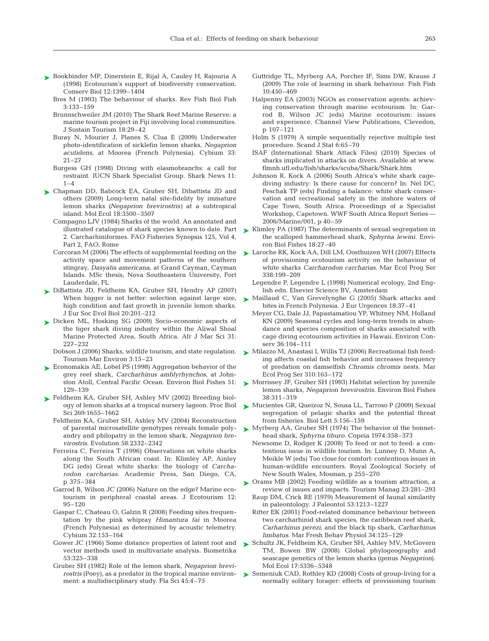- ► Bookbinder MP, Dinerstein E, Rijal A, Cauley H, Rajouria A (1998) Ecotourism's support of biodiversity conservation. Conserv Biol 12:1399–1404
	- Bres M (1993) The behaviour of sharks. Rev Fish Biol Fish 3:133–159
	- Brunnschweiler JM (2010) The Shark Reef Marine Reserve: a marine tourism project in Fiji involving local communities. J Sustain Tourism 18:29–42
	- Buray N, Mourier J, Planes S, Clua E (2009) Underwater photo-identification of sicklefin lemon sharks, *Negaprion acutidens*, at Moorea (French Polynesia). Cybium 33: 21–27
	- Burgess GH (1998) Diving with elasmobranchs: a call for restraint. IUCN Shark Specialist Group. Shark News 11:  $1 - 4$
- ► Chapman DD, Babcock EA, Gruber SH, Dibattista JD and others (2009) Long-term natal site-fidelity by immature lemon sharks *(Negaprion brevirostris)* at a subtropical island. Mol Ecol 18:3500–3507
	- Compagno LJV (1984) Sharks of the world. An annotated and illustrated catalogue of shark species known to date. Part 2. Carcharhiniformes. FAO Fisheries Synopsis 125, Vol 4, Part 2, FAO, Rome
	- Corcoran M (2006) The effects of supplemental feeding on the activity space and movement patterns of the southern stingray, *Dasyatis americana*, at Grand Cayman, Cayman Islands. MSc thesis, Nova Southeastern University, Fort Lauderdale, FL
- DiBattista JD, Feldheim KA, Gruber SH, Hendry AP (2007) ➤ When bigger is not better: selection against large size, high condition and fast growth in juvenile lemon sharks. J Eur Soc Evol Biol 20:201–212
- ► Dicken ML, Hosking SG (2009) Socio-economic aspects of the tiger shark diving industry within the Aliwal Shoal Marine Protected Area, South Africa. Afr J Mar Sci 31: 227–232
	- Tourism Mar Environ 3:15–23
- ► Economakis AE, Lobel PS (1998) Aggregation behavior of the grey reef shark, *Carcharhinus amblyrhynchos*, at Johnston Atoll, Central Pacific Ocean. Environ Biol Fishes 51: 129–139
- ► Feldheim KA, Gruber SH, Ashley MV (2002) Breeding biology of lemon sharks at a tropical nursery lagoon. Proc Biol Sci 269:1655–1662
	- Feldheim KA, Gruber SH, Ashley MV (2004) Reconstruction of parental microsatellite genotypes reveals female polyandry and philopatry in the lemon shark, *Negaprion brevirostris*. Evolution 58:2332–2342
	- Ferreira C, Ferreira T (1996) Observations on white sharks along the South African coast. In: Klimley AP, Ainley DG (eds) Great white sharks: the biology of *Carcharodon carcharias*. Academic Press, San Diego, CA, p 375–384
	- Garrod B, Wilson JC (2006) Nature on the edge? Marine ecotourism in peripheral coastal areas. J Ecotourism 12: 95–120
	- Gaspar C, Chateau O, Galzin R (2008) Feeding sites frequentation by the pink whipray *Himantura fai* in Moorea (French Polynesia) as determined by acoustic telemetry. Cybium 32:153–164
	- Gower JC (1966) Some distance properties of latent root and vector methods used in multivariate analysis. Biometrika 53:325–338
	- Gruber SH (1982) Role of the lemon shark, *Negaprion brevirostris* (Poey), as a predator in the tropical marine environment: a multidisciplinary study. Fla Sci 45:4–75
- Guttridge TL, Myrberg AA, Porcher IF, Sims DW, Krause J (2009) The role of learning in shark behaviour. Fish Fish 10:450–469
- Halpenny EA (2003) NGOs as conservation agents: achieving conservation through marine ecotourism. In: Garrod B, Wilson JC (eds) Marine ecotourism: issues and experience. Channel View Publications, Clevedon, p 107–121
- Holm S (1979) A simple sequentially rejective multiple test procedure. Scand J Stat 6:65–70
- ISAF (International Shark Attack Files) (2010) Species of sharks implicated in attacks on divers. Available at www. flmnh.ufl.edu/fish/sharks/scuba/Shark/Shark.htm
- Johnson R, Kock A (2006) South Africa's white shark cagediving industry: Is there cause for concern? In: Nel DC, Peschak TP (eds) Finding a balance: white shark conservation and recreational safety in the inshore waters of Cape Town, South Africa. Proceedings of a Specialist Workshop, Capetown. WWF South Africa Report Series — 2006/Marine/001, p 40–59
- ► Klimley PA (1987) The determinants of sexual segregation in the scalloped hammerhead shark, *Sphyrna lewini.* Environ Biol Fishes 18:27–40
- ► Laroche RK, Kock AA, Dill LM, Oosthuizen WH (2007) Effects of provisioning ecotourism activity on the behaviour of white sharks *Carcharodon carcharias.* Mar Ecol Prog Ser 338:199–209
	- Legendre P, Legendre L (1998) Numerical ecology, 2nd English edn. Elsevier Science BV, Amsterdam
- ► Maillaud C, Van Grevelynghe G (2005) Shark attacks and bites in French Polynesia. J Eur Urgences 18:37–41
	- Meyer CG, Dale JJ, Papastamatiou YP, Whitney NM, Holland KN (2009) Seasonal cycles and long-term trends in abundance and species composition of sharks associated with cage diving ecotourism activities in Hawaii. Environ Conserv 36:104–111
- Dobson J (2006) Sharks, wildlife tourism, and state regulation.  $\triangleright$  Milazzo M, Anastasi I, Willis TJ (2006) Recreational fish feeding affects coastal fish behavior and increases frequency of predation on damselfish *Chromis chromis* nests. Mar Ecol Prog Ser 310:165–172
	- ► Morrissey JF, Gruber SH (1993) Habitat selection by juvenile lemon sharks, *Negaprion brevirostris*. Environ Biol Fishes 38:311–319
	- ► Mucientes GR, Queizoz N, Sousa LL, Tarroso P (2009) Sexual segregation of pelagic sharks and the potential threat from fisheries. Biol Lett 5:156–159
	- ► Myrberg AA, Gruber SH (1974) The behavior of the bonnethead shark, *Sphyrna tiburo*. Copeia 1974:358–373
		- Newsome D, Rodger K (2008) To feed or not to feed: a contentious issue in wildlife tourism. In: Lunney D, Munn A, Meikle W (eds) Too close for comfort: contentious issues in human-wildlife encounters. Royal Zoological Society of New South Wales, Mosman, p 255–270
	- ▶ Orams MB (2002) Feeding wildlife as a tourism attraction, a review of issues and impacts. Tourism Manag 23:281–293
		- Raup DM, Crick RE (1979) Measurement of faunal similarity in paleontology. J Paleontol 53:1213–1227
		- Ritter EK (2001) Food-related dominance behaviour between two carcharhinid shark species, the caribbean reef shark, *Carharhinus perezi*, and the black tip shark, *Carharhinus limbatus*. Mar Fresh Behav Physiol 34:125–129
	- Schultz JK, Feldheim KA, Gruber SH, Ashley MV, McGovern ➤ TM, Bowen BW (2008) Global phylogeography and seascape genetics of the lemon sharks (genus *Negaprion)*. Mol Ecol 17:5336–5348
	- ▶ Semeniuk CAD, Rothley KD (2008) Costs of group-living for a normally solitary forager: effects of provisioning tourism